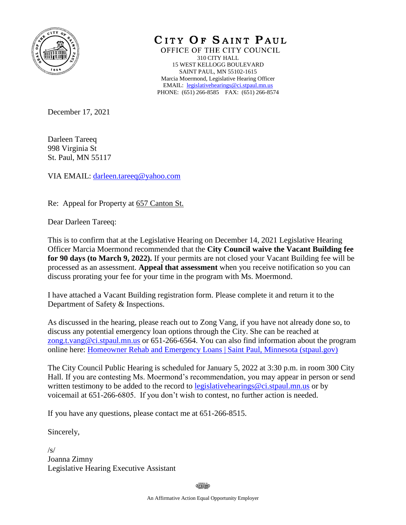

CITY OF SAINT PAUL

OFFICE OF THE CITY COUNCIL 310 CITY HALL 15 WEST KELLOGG BOULEVARD SAINT PAUL, MN 55102-1615 Marcia Moermond, Legislative Hearing Officer EMAIL: [legislativehearings@ci.stpaul.mn.us](mailto:legislativehearings@ci.stpaul.mn.us) PHONE: (651) 266-8585 FAX: (651) 266-8574

December 17, 2021

Darleen Tareeq 998 Virginia St St. Paul, MN 55117

VIA EMAIL: [darleen.tareeq@yahoo.com](mailto:darleen.tareeq@yahoo.com)

Re: Appeal for Property at 657 Canton St.

Dear Darleen Tareeq:

This is to confirm that at the Legislative Hearing on December 14, 2021 Legislative Hearing Officer Marcia Moermond recommended that the **City Council waive the Vacant Building fee for 90 days (to March 9, 2022).** If your permits are not closed your Vacant Building fee will be processed as an assessment. **Appeal that assessment** when you receive notification so you can discuss prorating your fee for your time in the program with Ms. Moermond.

I have attached a Vacant Building registration form. Please complete it and return it to the Department of Safety & Inspections.

As discussed in the hearing, please reach out to Zong Vang, if you have not already done so, to discuss any potential emergency loan options through the City. She can be reached at [zong.t.vang@ci.stpaul.mn.us](mailto:zong.t.vang@ci.stpaul.mn.us) or 651-266-6564. You can also find information about the program online here: [Homeowner Rehab and Emergency Loans | Saint Paul, Minnesota \(stpaul.gov\)](https://www.stpaul.gov/departments/planning-and-economic-development/housing/homeowner-rehab-and-emergency-loans)

The City Council Public Hearing is scheduled for January 5, 2022 at 3:30 p.m. in room 300 City Hall. If you are contesting Ms. Moermond's recommendation, you may appear in person or send written testimony to be added to the record to legislative hearings @ci.stpaul.mn.us or by voicemail at 651-266-6805. If you don't wish to contest, no further action is needed.

If you have any questions, please contact me at 651-266-8515.

Sincerely,

 $\sqrt{s}$ Joanna Zimny Legislative Hearing Executive Assistant